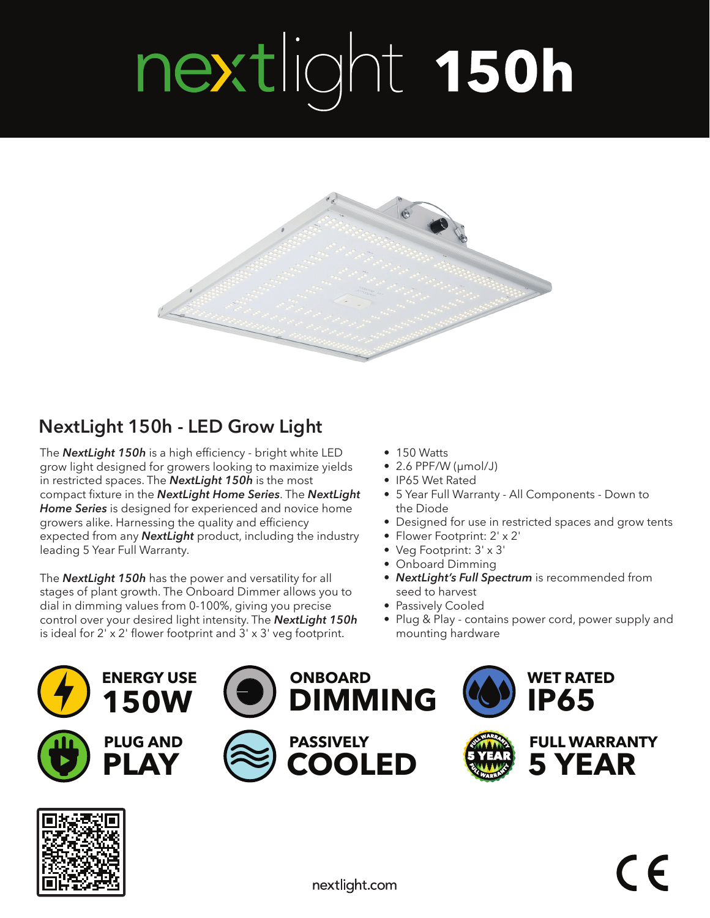## nextlight 150h



## **NextLight 150h - LED Grow Light**

The *NextLight 150h* is a high efficiency - bright white LED grow light designed for growers looking to maximize yields in restricted spaces. The *NextLight 150h* is the most compact fixture in the *NextLight Home Series*. The *NextLight Home Series* is designed for experienced and novice home growers alike. Harnessing the quality and efficiency expected from any *NextLight* product, including the industry leading 5 Year Full Warranty.

The *NextLight 150h* has the power and versatility for all stages of plant growth. The Onboard Dimmer allows you to dial in dimming values from 0-100%, giving you precise control over your desired light intensity. The *NextLight 150h*  is ideal for 2' x 2' flower footprint and 3' x 3' veg footprint.

- 150 Watts
- 2.6 PPF/W (μmol/J)
- IP65 Wet Rated
- 5 Year Full Warranty All Components Down to the Diode
- Designed for use in restricted spaces and grow tents
- Flower Footprint: 2' x 2'
- Veg Footprint: 3' x 3'
- Onboard Dimming
- *NextLight's Full Spectrum* is recommended from seed to harvest
- Passively Cooled
- Plug & Play contains power cord, power supply and mounting hardware

**WET RATED** 

**FULL WARRANTY 5 YEAR** 

**IP65** 







**ONBOARD** 

**PASSIVELY** 

**DIMMING** 

**COOLED**